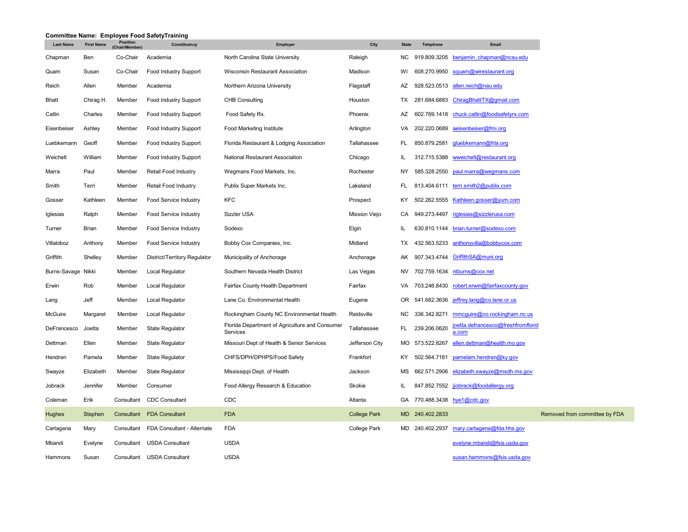|                    |                   | Position      | Committee Name: Employee Food SafetyTraining |                                                            |                     |              |                 |                                             |
|--------------------|-------------------|---------------|----------------------------------------------|------------------------------------------------------------|---------------------|--------------|-----------------|---------------------------------------------|
| <b>Last Name</b>   | <b>First Name</b> | (Chair/Member | Constituency                                 | Employer                                                   | City                | <b>State</b> | Telephone       | Email                                       |
| Chapman            | Ben               | Co-Chair      | Academia                                     | North Carolina State University                            | Raleigh             | NC           | 919.809.3205    | benjamin chapman@ncsu.edu                   |
| Quam               | Susan             | Co-Chair      | Food Industry Support                        | <b>Wisconsin Restaurant Association</b>                    | Madison             | WI           | 608.270.9950    | squam@wirestaurant.org                      |
| Reich              | Allen             | Member        | Academia                                     | Northern Arizona University                                | Flagstaff           | AZ           | 928.523.0513    | allen.reich@nau.edu                         |
| Bhatt              | Chirag H.         | Member        | Food Industry Support                        | <b>CHB Consulting</b>                                      | Houston             | TX           | 281.684.6883    | ChiraqBhattTX@qmail.com                     |
| Catlin             | Charles           | Member        | <b>Food Industry Support</b>                 | Food Safety Rx.                                            | Phoenix             | AZ           | 602.769.1418    | chuck.catlin@foodsafetyrx.com               |
| Eisenbeiser        | Ashley            | Member        | Food Industry Support                        | Food Marketing Institute                                   | Arlington           | VA           | 202.220.0689    | aeisenbeiser@fmi.org                        |
| Luebkemann         | Geoff             | Member        | <b>Food Industry Support</b>                 | Florida Restaurant & Lodging Association                   | Tallahassee         | FL           | 850.879.2581    | gluebkemann@frla.org                        |
| Weichelt           | William           | Member        | <b>Food Industry Support</b>                 | <b>National Restaurant Association</b>                     | Chicago             | IL           | 312.715.5388    | wweichelt@restaurant.org                    |
| Marra              | Paul              | Member        | Retail Food Industry                         | Wegmans Food Markets, Inc.                                 | Rochester           | NY           | 585.328.2550    | paul.marra@wegmans.com                      |
| Smith              | Terri             | Member        | Retail Food Industry                         | Publix Super Markets Inc.                                  | Lakeland            | FL           | 813.404.6111    | terri.smith2@publix.com                     |
| Gosser             | Kathleen          | Member        | Food Service Industry                        | <b>KFC</b>                                                 | Prospect            | KY           | 502.262.5555    | Kathleen.gosser@yum.com                     |
| Iglesias           | Ralph             | Member        | Food Service Industry                        | Sizzler USA                                                | Mission Viejo       | CA           | 949.273.4497    | riglesias@sizzlerusa.com                    |
| Turner             | Brian             | Member        | Food Service Industry                        | Sodexo                                                     | Elgin               | IL.          | 630.810.1144    | brian.turner@sodexo.com                     |
| Villaloboz         | Anthony           | Member        | Food Service Industry                        | Bobby Cox Companies, Inc.                                  | Midland             | TX           | 432.563.5233    | anthonyvilla@bobbycox.com                   |
| Griffith           | Shelley           | Member        | District/Territory Regulator                 | Municipality of Anchorage                                  | Anchorage           | AK           | 907.343.4744    | GriffithSA@muni.org                         |
| Burns-Savage Nikki |                   | Member        | Local Regulator                              | Southern Nevada Health District                            | Las Vegas           | <b>NV</b>    | 702.759.1634    | ntburns@cox.net                             |
| Erwin              | Rob               | Member        | Local Regulator                              | Fairfax County Health Department                           | Fairfax             | VA           | 703.246.8430    | robert.erwin@fairfaxcounty.gov              |
| Lang               | Jeff              | Member        | Local Regulator                              | Lane Co. Environmental Health                              | Eugene              | OR           | 541.682.3636    | jeffrey.lang@co.lane.or.us                  |
| McGuire            | Margaret          | Member        | Local Regulator                              | Rockingham County NC Environmental Health                  | Reidsville          | ΝC           | 336.342.8271    | mmcquire@co.rockingham.nc.us                |
| DeFrancesco        | Joetta            | Member        | <b>State Regulator</b>                       | Florida Department of Agriculture and Consumer<br>Services | Tallahassee         | FL.          | 239.206.0620    | joetta.defrancesco@freshfromflorid<br>a.com |
| Dettman            | Ellen             | Member        | <b>State Regulator</b>                       | Missouri Dept of Health & Senior Services                  | Jefferson City      | МO           | 573.522.8267    | ellen.dettman@health.mo.gov                 |
| Hendren            | Pamela            | Member        | <b>State Regulator</b>                       | CHFS/DPH/DPHPS/Food Safety                                 | Frankfort           | KY           | 502.564.7181    | pamelam.hendren@ky.gov                      |
| Swayze             | Elizabeth         | Member        | <b>State Regulator</b>                       | Mississippi Dept. of Health                                | Jackson             | MS           | 662.571.2906    | elizabeth.swayze@msdh.ms.gov                |
| Jobrack            | Jennifer          | Member        | Consumer                                     | Food Allergy Research & Education                          | Skokie              | IL.          | 847.852.7552    | jjobrack@foodallergy.org                    |
| Coleman            | Erik              | Consultant    | <b>CDC Consultant</b>                        | CDC                                                        | Atlanta             | GA           | 770.488.3438    | hye1@cdc.gov                                |
| Hughes             | Stephen           | Consultant    | <b>FDA Consultant</b>                        | <b>FDA</b>                                                 | <b>College Park</b> |              | MD 240.402.2833 |                                             |
| Cartagena          | Mary              | Consultant    | FDA Consultant - Alternate                   | <b>FDA</b>                                                 | College Park        |              | MD 240.402.2937 | mary.cartagena@fda.hhs.gov                  |
| Mbandi             | Evelyne           | Consultant    | <b>USDA Consultant</b>                       | <b>USDA</b>                                                |                     |              |                 | evelyne.mbandi@fsis.usda.gov                |
| Hammons            | Susan             | Consultant    | <b>USDA Consultant</b>                       | <b>USDA</b>                                                |                     |              |                 | susan.hammons@fsis.usda.gov                 |